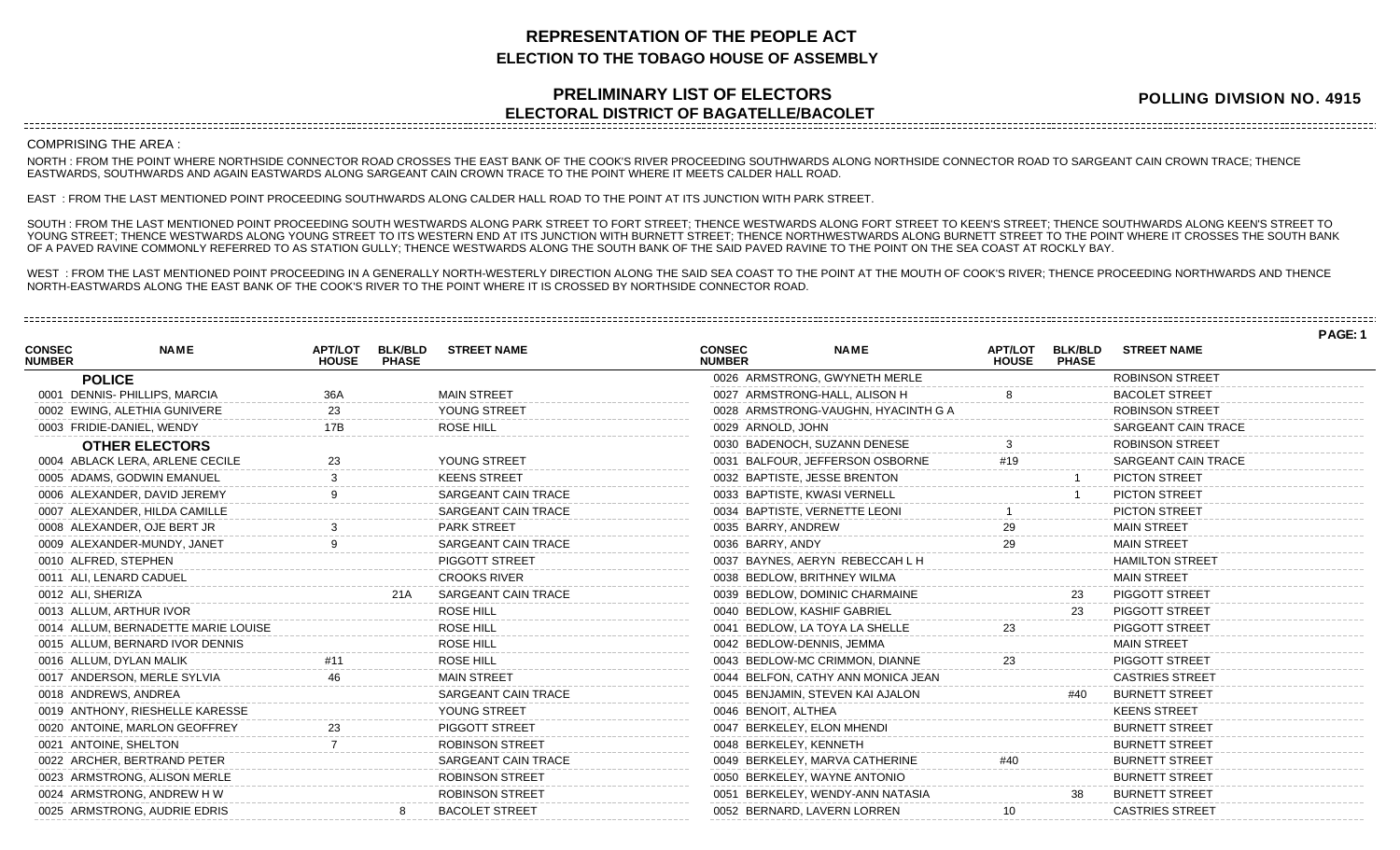## **REPRESENTATION OF THE PEOPLE ACT ELECTION TO THE TOBAGO HOUSE OF ASSEMBLY**

## **PRELIMINARY LIST OF ELECTORS ELECTORAL DISTRICT OF BAGATELLE/BACOLET**

**POLLING DIVISION NO. 4915**

## COMPRISING THE AREA :

NORTH : FROM THE POINT WHERE NORTHSIDE CONNECTOR ROAD CROSSES THE EAST BANK OF THE COOK'S RIVER PROCEEDING SOUTHWARDS ALONG NORTHSIDE CONNECTOR ROAD TO SARGEANT CAIN CROWN TRACE; THENCE EASTWARDS, SOUTHWARDS AND AGAIN EASTWARDS ALONG SARGEANT CAIN CROWN TRACE TO THE POINT WHERE IT MEETS CALDER HALL ROAD.

EAST : FROM THE LAST MENTIONED POINT PROCEEDING SOUTHWARDS ALONG CALDER HALL ROAD TO THE POINT AT ITS JUNCTION WITH PARK STREET.

SOUTH : FROM THE LAST MENTIONED POINT PROCEEDING SOUTH WESTWARDS ALONG PARK STREET TO FORT STREET; THENCE WESTWARDS ALONG FORT STREET TO KEEN'S STREET; THENCE SOUTHWARDS ALONG KEEN'S STREET TO YOUNG STREET; THENCE WESTWARDS ALONG YOUNG STREET TO ITS WESTERN END AT ITS JUNCTION WITH BURNETT STREET; THENCE NORTHWESTWARDS ALONG BURNETT STREET TO THE POINT WHERE IT CROSSES THE SOUTH BANK OF A PAVED RAVINE COMMONLY REFERRED TO AS STATION GULLY; THENCE WESTWARDS ALONG THE SOUTH BANK OF THE SAID PAVED RAVINE TO THE POINT ON THE SEA COAST AT ROCKLY BAY.

WEST : FROM THE LAST MENTIONED POINT PROCEEDING IN A GENERALLY NORTH-WESTERLY DIRECTION ALONG THE SAID SEA COAST TO THE POINT AT THE MOUTH OF COOK'S RIVER; THENCE PROCEEDING NORTHWARDS AND THENCE NORTH-EASTWARDS ALONG THE EAST BANK OF THE COOK'S RIVER TO THE POINT WHERE IT IS CROSSED BY NORTHSIDE CONNECTOR ROAD.

|                                |                                     |                                |                                |                            |                                |                                     |                                |                                |                        | PAGE: 1 |
|--------------------------------|-------------------------------------|--------------------------------|--------------------------------|----------------------------|--------------------------------|-------------------------------------|--------------------------------|--------------------------------|------------------------|---------|
| <b>CONSEC</b><br><b>NUMBER</b> | <b>NAME</b>                         | <b>APT/LOT</b><br><b>HOUSE</b> | <b>BLK/BLD</b><br><b>PHASE</b> | <b>STREET NAME</b>         | <b>CONSEC</b><br><b>NUMBER</b> | <b>NAME</b>                         | <b>APT/LOT</b><br><b>HOUSE</b> | <b>BLK/BLD</b><br><b>PHASE</b> | <b>STREET NAME</b>     |         |
|                                | <b>POLICE</b>                       |                                |                                |                            |                                | 0026 ARMSTRONG, GWYNETH MERLE       |                                |                                | <b>ROBINSON STREET</b> |         |
|                                | 0001 DENNIS- PHILLIPS, MARCIA       | 36A                            |                                | <b>MAIN STREET</b>         |                                | 0027 ARMSTRONG-HALL, ALISON H       |                                |                                | <b>BACOLET STREET</b>  |         |
|                                | 0002 EWING, ALETHIA GUNIVERE        | 23                             |                                | YOUNG STREET               |                                | 0028 ARMSTRONG-VAUGHN, HYACINTH G A |                                |                                | <b>ROBINSON STREET</b> |         |
|                                | 0003 FRIDIE-DANIEL, WENDY           | 17B                            |                                | ROSE HILL                  | 0029 ARNOLD, JOHN              |                                     |                                |                                | SARGEANT CAIN TRACE    |         |
|                                | <b>OTHER ELECTORS</b>               |                                |                                |                            |                                | 0030 BADENOCH, SUZANN DENESE        |                                |                                | <b>ROBINSON STREET</b> |         |
|                                | 0004 ABLACK LERA, ARLENE CECILE     | 23                             |                                | YOUNG STREET               |                                | 0031 BALFOUR, JEFFERSON OSBORNE     | #19                            |                                | SARGEANT CAIN TRACE    |         |
|                                | 0005 ADAMS, GODWIN EMANUEL          |                                |                                | <b>KEENS STREET</b>        |                                | 0032 BAPTISTE, JESSE BRENTON        |                                |                                | <b>PICTON STREET</b>   |         |
|                                | 0006 ALEXANDER, DAVID JEREMY        |                                |                                | SARGEANT CAIN TRACE        |                                | 0033 BAPTISTE, KWASI VERNELL        |                                |                                | <b>PICTON STREET</b>   |         |
|                                | 0007 ALEXANDER, HILDA CAMILLE       |                                |                                | <b>SARGEANT CAIN TRACE</b> |                                | 0034 BAPTISTE, VERNETTE LEONI       |                                |                                | <b>PICTON STREET</b>   |         |
|                                | 0008 ALEXANDER, OJE BERT JR         |                                |                                | <b>PARK STREET</b>         | 0035 BARRY, ANDREW             |                                     |                                |                                | <b>MAIN STREET</b>     |         |
|                                | 0009 ALEXANDER-MUNDY, JANET         |                                |                                | SARGEANT CAIN TRACE        | 0036 BARRY, ANDY               |                                     |                                |                                | <b>MAIN STREET</b>     |         |
|                                | 0010 ALFRED, STEPHEN                |                                |                                | PIGGOTT STREET             |                                | 0037 BAYNES, AERYN REBECCAH L H     |                                |                                | <b>HAMILTON STREET</b> |         |
|                                | 0011 ALI, LENARD CADUEL             |                                |                                | <b>CROOKS RIVER</b>        |                                | 0038 BEDLOW, BRITHNEY WILMA         |                                |                                | <b>MAIN STREET</b>     |         |
|                                | 0012 ALI, SHERIZA                   |                                | 21A                            | SARGEANT CAIN TRACE        |                                | 0039 BEDLOW, DOMINIC CHARMAINE      |                                | 23                             | PIGGOTT STREET         |         |
|                                | 0013 ALLUM, ARTHUR IVOR             |                                |                                | ROSE HILL                  |                                | 0040 BEDLOW, KASHIF GABRIEL         |                                | 23                             | PIGGOTT STREET         |         |
|                                | 0014 ALLUM, BERNADETTE MARIE LOUISE |                                |                                | <b>ROSE HILL</b>           |                                | 0041 BEDLOW, LA TOYA LA SHELLE      |                                |                                | <b>PIGGOTT STREET</b>  |         |
|                                | 0015 ALLUM, BERNARD IVOR DENNIS     |                                |                                | ROSE HILL                  |                                | 0042 BEDLOW-DENNIS, JEMMA           |                                |                                | <b>MAIN STREET</b>     |         |
|                                | 0016 ALLUM, DYLAN MALIK             |                                |                                | <b>ROSE HILL</b>           |                                | 0043 BEDLOW-MC CRIMMON, DIANNE      |                                |                                | <b>PIGGOTT STREET</b>  |         |
|                                | 0017 ANDERSON, MERLE SYLVIA         |                                |                                | <b>MAIN STREET</b>         |                                | 0044 BELFON, CATHY ANN MONICA JEAN  |                                |                                | <b>CASTRIES STREET</b> |         |
|                                | 0018 ANDREWS, ANDREA                |                                |                                | <b>SARGEANT CAIN TRACE</b> |                                | 0045 BENJAMIN, STEVEN KAI AJALON    |                                | #40                            | <b>BURNETT STREET</b>  |         |
|                                | 0019 ANTHONY, RIESHELLE KARESSE     |                                |                                | YOUNG STREET               | 0046 BENOIT, ALTHEA            |                                     |                                |                                | <b>KEENS STREET</b>    |         |
|                                | 0020 ANTOINE, MARLON GEOFFREY       | 23                             |                                | PIGGOTT STREET             |                                | 0047 BERKELEY, ELON MHENDI          |                                |                                | <b>BURNETT STREET</b>  |         |
|                                | 0021 ANTOINE, SHELTON               |                                |                                | <b>ROBINSON STREET</b>     | 0048 BERKELEY, KENNETH         |                                     |                                |                                | <b>BURNETT STREET</b>  |         |
|                                | 0022 ARCHER, BERTRAND PETER         |                                |                                | SARGEANT CAIN TRACE        |                                | 0049 BERKELEY, MARVA CATHERINE      | #40                            |                                | <b>BURNETT STREET</b>  |         |
|                                | 0023 ARMSTRONG, ALISON MERLE        |                                |                                | <b>ROBINSON STREET</b>     |                                | 0050 BERKELEY, WAYNE ANTONIO        |                                |                                | <b>BURNETT STREET</b>  |         |
|                                | 0024 ARMSTRONG, ANDREW H W          |                                |                                | <b>ROBINSON STREET</b>     |                                | 0051 BERKELEY, WENDY-ANN NATASIA    |                                |                                | <b>BURNETT STREET</b>  |         |
|                                | 0025 ARMSTRONG, AUDRIE EDRIS        |                                |                                | <b>BACOLET STREET</b>      |                                | 0052 BERNARD, LAVERN LORREN         | 10                             |                                | <b>CASTRIES STREET</b> |         |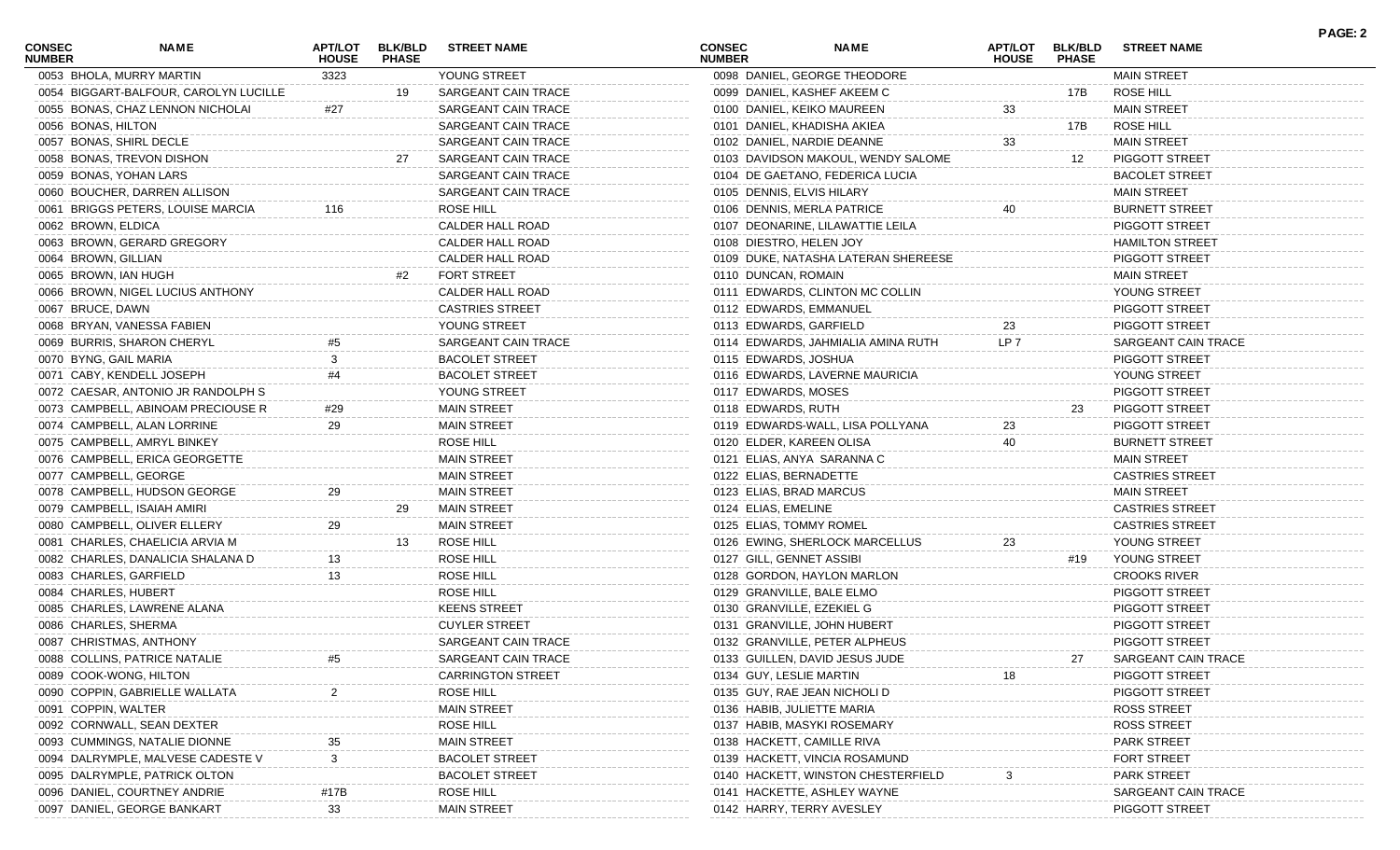| <b>CONSEC</b><br><b>NUMBER</b> | <b>NAME</b>                           | <b>APT/LOT</b><br><b>HOUSE</b> | <b>BLK/BLD</b><br><b>PHASE</b> | <b>STREET NAME</b>       | <b>CONSEC</b><br><b>NUMBER</b> | <b>NAME</b>                         | <b>APT/LOT</b><br><b>HOUSE</b> | <b>BLK/BLD</b><br><b>PHASE</b> | <b>STREET NAME</b>     |  |
|--------------------------------|---------------------------------------|--------------------------------|--------------------------------|--------------------------|--------------------------------|-------------------------------------|--------------------------------|--------------------------------|------------------------|--|
|                                | 0053 BHOLA, MURRY MARTIN              | 3323                           |                                | YOUNG STREET             |                                | 0098 DANIEL, GEORGE THEODORE        |                                |                                | <b>MAIN STREET</b>     |  |
|                                | 0054 BIGGART-BALFOUR, CAROLYN LUCILLE |                                | 19                             | SARGEANT CAIN TRACE      |                                | 0099 DANIEL, KASHEF AKEEM C         |                                | 17B                            | <b>ROSE HILL</b>       |  |
|                                | 0055 BONAS, CHAZ LENNON NICHOLAI      | #27                            |                                | SARGEANT CAIN TRACE      |                                | 0100 DANIEL, KEIKO MAUREEN          | 33                             |                                | <b>MAIN STREET</b>     |  |
|                                | 0056 BONAS, HILTON                    |                                |                                | SARGEANT CAIN TRACE      |                                | 0101 DANIEL, KHADISHA AKIEA         |                                | 17B                            | ROSE HILL              |  |
|                                | 0057 BONAS, SHIRL DECLE               |                                |                                | SARGEANT CAIN TRACE      |                                | 0102 DANIEL, NARDIE DEANNE          | 33                             |                                | <b>MAIN STREET</b>     |  |
|                                | 0058 BONAS, TREVON DISHON             |                                |                                | SARGEANT CAIN TRACE      |                                | 0103 DAVIDSON MAKOUL, WENDY SALOME  |                                | 12                             | PIGGOTT STREET         |  |
|                                | 0059 BONAS, YOHAN LARS                |                                |                                | SARGEANT CAIN TRACE      |                                | 0104 DE GAETANO, FEDERICA LUCIA     |                                |                                | <b>BACOLET STREET</b>  |  |
|                                | 0060 BOUCHER, DARREN ALLISON          |                                |                                | SARGEANT CAIN TRACE      | 0105 DENNIS, ELVIS HILARY      |                                     |                                |                                | <b>MAIN STREET</b>     |  |
|                                | 0061 BRIGGS PETERS, LOUISE MARCIA     | 116                            |                                | ROSE HILL                |                                | 0106 DENNIS, MERLA PATRICE          |                                |                                | <b>BURNETT STREET</b>  |  |
|                                | 0062 BROWN, ELDICA                    |                                |                                | CALDER HALL ROAD         |                                | 0107 DEONARINE, LILAWATTIE LEILA    |                                |                                | PIGGOTT STREET         |  |
|                                | 0063 BROWN, GERARD GREGORY            |                                |                                | CALDER HALL ROAD         | 0108 DIESTRO, HELEN JOY        |                                     |                                |                                | <b>HAMILTON STREET</b> |  |
|                                | 0064 BROWN, GILLIAN                   |                                |                                | CALDER HALL ROAD         |                                | 0109 DUKE, NATASHA LATERAN SHEREESE |                                |                                | PIGGOTT STREET         |  |
|                                | 0065 BROWN, IAN HUGH                  |                                | #2                             | <b>FORT STREET</b>       | 0110 DUNCAN, ROMAIN            |                                     |                                |                                | <b>MAIN STREET</b>     |  |
|                                | 0066 BROWN, NIGEL LUCIUS ANTHONY      |                                |                                | CALDER HALL ROAD         |                                | 0111 EDWARDS, CLINTON MC COLLIN     |                                |                                | YOUNG STREET           |  |
|                                | 0067 BRUCE, DAWN                      |                                |                                | <b>CASTRIES STREET</b>   | 0112 EDWARDS, EMMANUEL         |                                     |                                |                                | PIGGOTT STREET         |  |
|                                | 0068 BRYAN, VANESSA FABIEN            |                                |                                | YOUNG STREET             | 0113 EDWARDS, GARFIELD         |                                     | 23                             |                                | PIGGOTT STREET         |  |
|                                | 0069 BURRIS, SHARON CHERYL            | #5                             |                                | SARGEANT CAIN TRACE      |                                | 0114 EDWARDS, JAHMIALIA AMINA RUTH  | LP 7                           |                                | SARGEANT CAIN TRACE    |  |
|                                | 0070 BYNG, GAIL MARIA                 | 3                              |                                | <b>BACOLET STREET</b>    | 0115 EDWARDS, JOSHUA           |                                     |                                |                                | PIGGOTT STREET         |  |
|                                | 0071 CABY, KENDELL JOSEPH             |                                |                                | <b>BACOLET STREET</b>    |                                | 0116 EDWARDS, LAVERNE MAURICIA      |                                |                                | YOUNG STREET           |  |
|                                | 0072 CAESAR, ANTONIO JR RANDOLPH S    |                                |                                | YOUNG STREET             | 0117 EDWARDS, MOSES            |                                     |                                |                                | PIGGOTT STREET         |  |
|                                | 0073 CAMPBELL, ABINOAM PRECIOUSE R    | #29                            |                                | <b>MAIN STREET</b>       | 0118 EDWARDS, RUTH             |                                     |                                | 23                             | PIGGOTT STREET         |  |
|                                | 0074 CAMPBELL, ALAN LORRINE           |                                |                                | <b>MAIN STREET</b>       |                                | 0119 EDWARDS-WALL, LISA POLLYANA    | 23                             |                                | <b>PIGGOTT STREET</b>  |  |
|                                | 0075 CAMPBELL, AMRYL BINKEY           |                                |                                | ROSE HILL                | 0120 ELDER, KAREEN OLISA       |                                     | 40                             |                                | <b>BURNETT STREET</b>  |  |
|                                | 0076 CAMPBELL, ERICA GEORGETTE        |                                |                                | <b>MAIN STREET</b>       |                                | 0121 ELIAS, ANYA SARANNA C          |                                |                                | <b>MAIN STREET</b>     |  |
|                                | 0077 CAMPBELL, GEORGE                 |                                |                                | <b>MAIN STREET</b>       | 0122 ELIAS, BERNADETTE         |                                     |                                |                                | <b>CASTRIES STREET</b> |  |
|                                | 0078 CAMPBELL, HUDSON GEORGE          | 29                             |                                | <b>MAIN STREET</b>       | 0123 ELIAS, BRAD MARCUS        |                                     |                                |                                | <b>MAIN STREET</b>     |  |
|                                | 0079 CAMPBELL, ISAIAH AMIRI           |                                | 29                             | <b>MAIN STREET</b>       | 0124 ELIAS, EMELINE            |                                     |                                |                                | <b>CASTRIES STREET</b> |  |
|                                | 0080 CAMPBELL, OLIVER ELLERY          |                                |                                | <b>MAIN STREET</b>       | 0125 ELIAS, TOMMY ROMEL        |                                     |                                |                                | <b>CASTRIES STREET</b> |  |
|                                | 0081 CHARLES, CHAELICIA ARVIA M       |                                | 13                             | <b>ROSE HILL</b>         |                                | 0126 EWING, SHERLOCK MARCELLUS      | 23                             |                                | YOUNG STREET           |  |
|                                | 0082 CHARLES, DANALICIA SHALANA D     | 13.                            |                                | ROSE HILL                | 0127 GILL, GENNET ASSIBI       |                                     |                                | #19                            | YOUNG STREET           |  |
|                                | 0083 CHARLES, GARFIELD                | 13                             |                                | ROSE HILL                |                                | 0128 GORDON, HAYLON MARLON          |                                |                                | <b>CROOKS RIVER</b>    |  |
|                                | 0084 CHARLES, HUBERT                  |                                |                                | ROSE HILL                | 0129 GRANVILLE, BALE ELMO      |                                     |                                |                                | PIGGOTT STREET         |  |
|                                | 0085 CHARLES, LAWRENE ALANA           |                                |                                | <b>KEENS STREET</b>      | 0130 GRANVILLE, EZEKIEL G      |                                     |                                |                                | PIGGOTT STREET         |  |
|                                | 0086 CHARLES, SHERMA                  |                                |                                | <b>CUYLER STREET</b>     |                                | 0131 GRANVILLE, JOHN HUBERT         |                                |                                | PIGGOTT STREET         |  |
|                                | 0087 CHRISTMAS, ANTHONY               |                                |                                | SARGEANT CAIN TRACE      |                                | 0132 GRANVILLE, PETER ALPHEUS       |                                |                                | PIGGOTT STREET         |  |
|                                | 0088 COLLINS, PATRICE NATALIE         | #5                             |                                | SARGEANT CAIN TRACE      |                                | 0133 GUILLEN, DAVID JESUS JUDE      |                                | 27                             | SARGEANT CAIN TRACE    |  |
|                                | 0089 COOK-WONG, HILTON                |                                |                                | <b>CARRINGTON STREET</b> | 0134 GUY, LESLIE MARTIN        |                                     | 18                             |                                | PIGGOTT STREET         |  |
|                                | 0090 COPPIN, GABRIELLE WALLATA        |                                |                                | <b>ROSE HILL</b>         |                                | 0135 GUY, RAE JEAN NICHOLI D        |                                |                                | PIGGOTT STREET         |  |
|                                | 0091 COPPIN, WALTER                   |                                |                                | <b>MAIN STREET</b>       | 0136 HABIB, JULIETTE MARIA     |                                     |                                |                                | <b>ROSS STREET</b>     |  |
|                                | 0092 CORNWALL, SEAN DEXTER            |                                |                                | ROSE HILL                |                                | 0137 HABIB, MASYKI ROSEMARY         |                                |                                | <b>ROSS STREET</b>     |  |
|                                | 0093 CUMMINGS, NATALIE DIONNE         |                                |                                | <b>MAIN STREET</b>       | 0138 HACKETT, CAMILLE RIVA     |                                     |                                |                                | <b>PARK STREET</b>     |  |
|                                | 0094 DALRYMPLE, MALVESE CADESTE V     | 3                              |                                | <b>BACOLET STREET</b>    |                                | 0139 HACKETT, VINCIA ROSAMUND       |                                |                                | <b>FORT STREET</b>     |  |
|                                | 0095 DALRYMPLE, PATRICK OLTON         |                                |                                | <b>BACOLET STREET</b>    |                                | 0140 HACKETT, WINSTON CHESTERFIELD  |                                |                                | <b>PARK STREET</b>     |  |
|                                | 0096 DANIEL, COURTNEY ANDRIE          | #17B                           |                                | ROSE HILL                |                                | 0141 HACKETTE, ASHLEY WAYNE         |                                |                                | SARGEANT CAIN TRACE    |  |
|                                | 0097 DANIEL, GEORGE BANKART           | 33                             |                                | <b>MAIN STREET</b>       |                                | 0142 HARRY, TERRY AVESLEY           |                                |                                | PIGGOTT STREET         |  |

**PAGE: 2**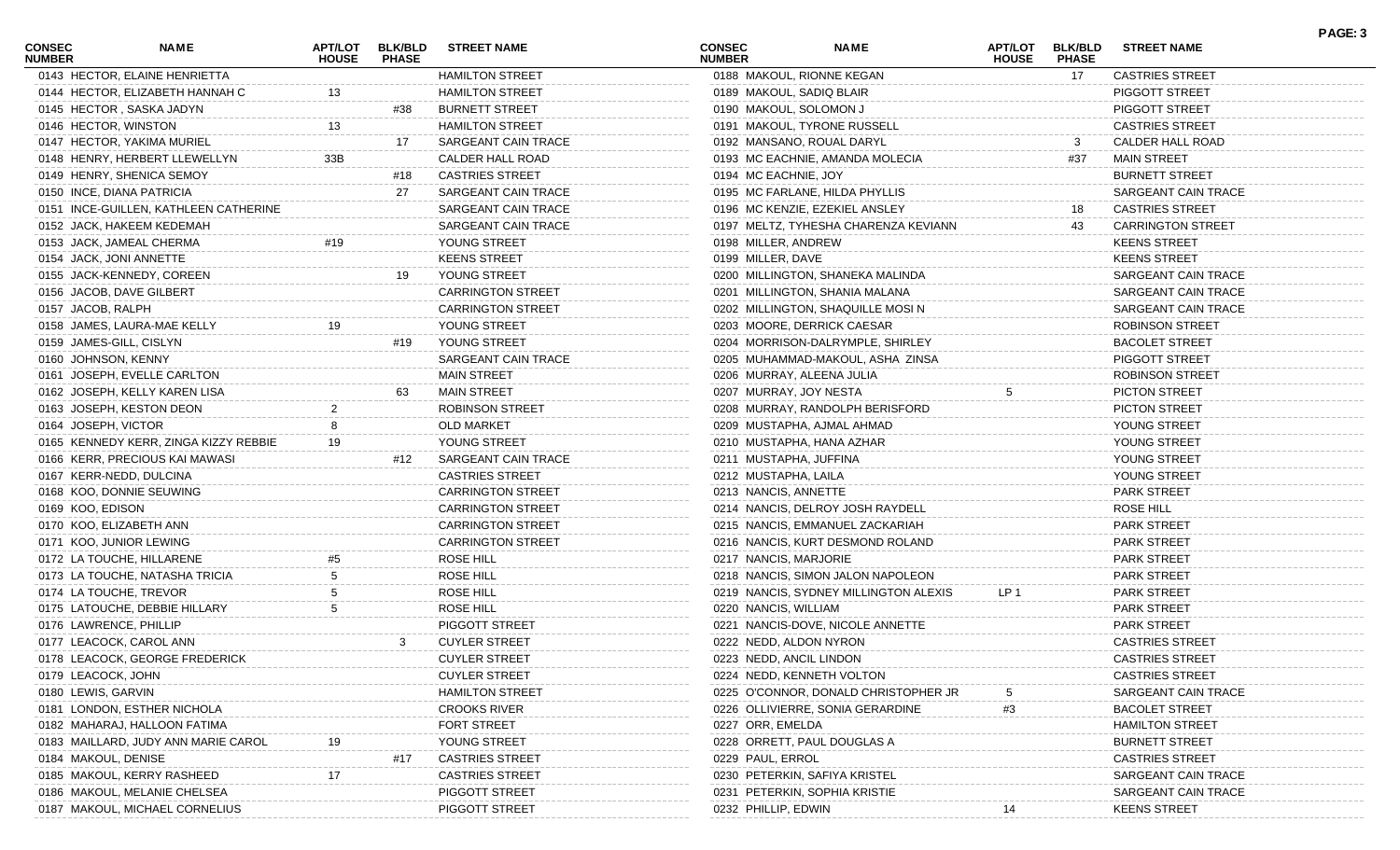| CONSEC<br><b>NUMBER</b> | NAME                                  | APT/LOT<br><b>HOUSE</b> | <b>BLK/BLD</b><br><b>PHASE</b> | <b>STREET NAME</b>       | CONSEC<br><b>NUMBER</b>   | <b>NAME</b>                           | <b>APT/LOT</b><br><b>HOUSE</b> | <b>BLK/BLD</b><br><b>PHASE</b> | <b>STREET NAME</b>       | PAGE: 3 |
|-------------------------|---------------------------------------|-------------------------|--------------------------------|--------------------------|---------------------------|---------------------------------------|--------------------------------|--------------------------------|--------------------------|---------|
|                         | 0143 HECTOR, ELAINE HENRIETTA         |                         |                                | <b>HAMILTON STREET</b>   |                           | 0188 MAKOUL, RIONNE KEGAN             |                                | 17                             | <b>CASTRIES STREET</b>   |         |
|                         | 0144 HECTOR, ELIZABETH HANNAH C       | 13                      |                                | <b>HAMILTON STREET</b>   | 0189 MAKOUL, SADIQ BLAIR  |                                       |                                |                                | PIGGOTT STREET           |         |
|                         | 0145 HECTOR, SASKA JADYN              |                         | #38                            | <b>BURNETT STREET</b>    | 0190 MAKOUL, SOLOMON J    |                                       |                                |                                | PIGGOTT STREET           |         |
| 0146 HECTOR, WINSTON    |                                       | 13                      |                                | <b>HAMILTON STREET</b>   |                           | 0191 MAKOUL, TYRONE RUSSELL           |                                |                                | <b>CASTRIES STREET</b>   |         |
|                         | 0147 HECTOR, YAKIMA MURIEL            |                         | 17                             | SARGEANT CAIN TRACE      |                           | 0192 MANSANO, ROUAL DARYL             |                                | 3                              | CALDER HALL ROAD         |         |
|                         | 0148 HENRY, HERBERT LLEWELLYN         | 33B                     |                                | CALDER HALL ROAD         |                           | 0193 MC EACHNIE, AMANDA MOLECIA       |                                | #37                            | <b>MAIN STREET</b>       |         |
|                         | 0149 HENRY, SHENICA SEMOY             |                         | #18                            | <b>CASTRIES STREET</b>   | 0194 MC EACHNIE, JOY      |                                       |                                |                                | <b>BURNETT STREET</b>    |         |
|                         | 0150 INCE, DIANA PATRICIA             |                         | -27                            | SARGEANT CAIN TRACE      |                           | 0195 MC FARLANE, HILDA PHYLLIS        |                                |                                | SARGEANT CAIN TRACE      |         |
|                         | 0151 INCE-GUILLEN, KATHLEEN CATHERINE |                         |                                | SARGEANT CAIN TRACE      |                           | 0196 MC KENZIE, EZEKIEL ANSLEY        |                                | 18                             | <b>CASTRIES STREET</b>   |         |
|                         | 0152 JACK, HAKEEM KEDEMAH             |                         |                                | SARGEANT CAIN TRACE      |                           | 0197 MELTZ, TYHESHA CHARENZA KEVIANN  |                                | 43                             | <b>CARRINGTON STREET</b> |         |
|                         | 0153 JACK, JAMEAL CHERMA              | #19                     |                                | YOUNG STREET             | 0198 MILLER, ANDREW       |                                       |                                |                                | <b>KEENS STREET</b>      |         |
|                         | 0154 JACK, JONI ANNETTE               |                         |                                | <b>KEENS STREET</b>      | 0199 MILLER, DAVE         |                                       |                                |                                | <b>KEENS STREET</b>      |         |
|                         | 0155 JACK-KENNEDY, COREEN             |                         | 19                             | YOUNG STREET             |                           | 0200 MILLINGTON, SHANEKA MALINDA      |                                |                                | SARGEANT CAIN TRACE      |         |
|                         | 0156 JACOB, DAVE GILBERT              |                         |                                | <b>CARRINGTON STREET</b> |                           | 0201 MILLINGTON, SHANIA MALANA        |                                |                                | SARGEANT CAIN TRACE      |         |
| 0157 JACOB, RALPH       |                                       |                         |                                | <b>CARRINGTON STREET</b> |                           | 0202 MILLINGTON, SHAQUILLE MOSIN      |                                |                                | SARGEANT CAIN TRACE      |         |
|                         | 0158 JAMES, LAURA-MAE KELLY           | 19                      |                                | YOUNG STREET             |                           | 0203 MOORE, DERRICK CAESAR            |                                |                                | <b>ROBINSON STREET</b>   |         |
|                         | 0159 JAMES-GILL, CISLYN               |                         | #19                            | YOUNG STREET             |                           | 0204 MORRISON-DALRYMPLE, SHIRLEY      |                                |                                | <b>BACOLET STREET</b>    |         |
| 0160 JOHNSON, KENNY     |                                       |                         |                                | SARGEANT CAIN TRACE      |                           | 0205 MUHAMMAD-MAKOUL, ASHA ZINSA      |                                |                                | PIGGOTT STREET           |         |
|                         | 0161 JOSEPH, EVELLE CARLTON           |                         |                                | <b>MAIN STREET</b>       | 0206 MURRAY, ALEENA JULIA |                                       |                                |                                | <b>ROBINSON STREET</b>   |         |
|                         | 0162 JOSEPH, KELLY KAREN LISA         |                         | 63                             | <b>MAIN STREET</b>       | 0207 MURRAY, JOY NESTA    |                                       | 5                              |                                | <b>PICTON STREET</b>     |         |
|                         | 0163 JOSEPH, KESTON DEON              |                         |                                | <b>ROBINSON STREET</b>   |                           | 0208 MURRAY, RANDOLPH BERISFORD       |                                |                                | <b>PICTON STREET</b>     |         |
| 0164 JOSEPH, VICTOR     |                                       |                         |                                | <b>OLD MARKET</b>        |                           | 0209 MUSTAPHA, AJMAL AHMAD            |                                |                                | YOUNG STREET             |         |
|                         | 0165 KENNEDY KERR, ZINGA KIZZY REBBIE |                         |                                | YOUNG STREET             |                           | 0210 MUSTAPHA, HANA AZHAR             |                                |                                | YOUNG STREET             |         |
|                         | 0166 KERR, PRECIOUS KAI MAWASI        |                         | #12                            | SARGEANT CAIN TRACE      | 0211 MUSTAPHA, JUFFINA    |                                       |                                |                                | YOUNG STREET             |         |
|                         | 0167 KERR-NEDD, DULCINA               |                         |                                | <b>CASTRIES STREET</b>   | 0212 MUSTAPHA, LAILA      |                                       |                                |                                | YOUNG STREET             |         |
|                         | 0168 KOO, DONNIE SEUWING              |                         |                                | <b>CARRINGTON STREET</b> | 0213 NANCIS, ANNETTE      |                                       |                                |                                | <b>PARK STREET</b>       |         |
|                         |                                       |                         |                                | <b>CARRINGTON STREET</b> |                           |                                       |                                |                                | <b>ROSE HILL</b>         |         |
| 0169 KOO, EDISON        |                                       |                         |                                |                          |                           | 0214 NANCIS, DELROY JOSH RAYDELL      |                                |                                |                          |         |
|                         | 0170 KOO, ELIZABETH ANN               |                         |                                | <b>CARRINGTON STREET</b> |                           | 0215 NANCIS, EMMANUEL ZACKARIAH       |                                |                                | PARK STREET              |         |
|                         | 0171 KOO, JUNIOR LEWING               |                         |                                | <b>CARRINGTON STREET</b> |                           | 0216 NANCIS, KURT DESMOND ROLAND      |                                |                                | PARK STREET              |         |
|                         | 0172 LA TOUCHE, HILLARENE             |                         |                                | ROSE HILL                | 0217 NANCIS, MARJORIE     |                                       |                                |                                | <b>PARK STREET</b>       |         |
|                         | 0173 LA TOUCHE, NATASHA TRICIA        |                         |                                | ROSE HILL                |                           | 0218 NANCIS, SIMON JALON NAPOLEON     |                                |                                | PARK STREET              |         |
|                         | 0174 LA TOUCHE, TREVOR                |                         |                                | ROSE HILL                |                           | 0219 NANCIS, SYDNEY MILLINGTON ALEXIS | LP <sub>1</sub>                |                                | <b>PARK STREET</b>       |         |
|                         | 0175 LATOUCHE, DEBBIE HILLARY         |                         |                                | ROSE HILL                | 0220 NANCIS, WILLIAM      |                                       |                                |                                | <b>PARK STREET</b>       |         |
|                         | 0176 LAWRENCE, PHILLIP                |                         |                                | PIGGOTT STREET           |                           | 0221 NANCIS-DOVE, NICOLE ANNETTE      |                                |                                | <b>PARK STREET</b>       |         |
|                         | 0177 LEACOCK, CAROL ANN               |                         | 3                              | <b>CUYLER STREET</b>     | 0222 NEDD, ALDON NYRON    |                                       |                                |                                | <b>CASTRIES STREET</b>   |         |
|                         | 0178 LEACOCK, GEORGE FREDERICK        |                         |                                | <b>CUYLER STREET</b>     | 0223 NEDD, ANCIL LINDON   |                                       |                                |                                | <b>CASTRIES STREET</b>   |         |
| 0179 LEACOCK, JOHN      |                                       |                         |                                | <b>CUYLER STREET</b>     |                           | 0224 NEDD, KENNETH VOLTON             |                                |                                | <b>CASTRIES STREET</b>   |         |
| 0180 LEWIS, GARVIN      |                                       |                         |                                | <b>HAMILTON STREET</b>   |                           | 0225 O'CONNOR, DONALD CHRISTOPHER JR  |                                |                                | SARGEANT CAIN TRACE      |         |
|                         | 0181 LONDON, ESTHER NICHOLA           |                         |                                | <b>CROOKS RIVER</b>      |                           | 0226 OLLIVIERRE, SONIA GERARDINE      | #3                             |                                | <b>BACOLET STREET</b>    |         |
|                         | 0182 MAHARAJ, HALLOON FATIMA          |                         |                                | FORT STREET              | 0227 ORR, EMELDA          |                                       |                                |                                | <b>HAMILTON STREET</b>   |         |
|                         | 0183 MAILLARD, JUDY ANN MARIE CAROL   |                         |                                | YOUNG STREET             |                           | 0228 ORRETT, PAUL DOUGLAS A           |                                |                                | <b>BURNETT STREET</b>    |         |
| 0184 MAKOUL, DENISE     |                                       |                         | #17                            | <b>CASTRIES STREET</b>   | 0229 PAUL, ERROL          |                                       |                                |                                | <b>CASTRIES STREET</b>   |         |
|                         | 0185 MAKOUL, KERRY RASHEED            |                         |                                | <b>CASTRIES STREET</b>   |                           | 0230 PETERKIN, SAFIYA KRISTEI         |                                |                                | SARGEANT CAIN TRACE      |         |
|                         | 0186 MAKOUL, MELANIE CHELSEA          |                         |                                | PIGGOTT STREET           |                           | 0231 PETERKIN, SOPHIA KRISTIE         |                                |                                | SARGEANT CAIN TRACE      |         |
|                         | 0187 MAKOUL, MICHAEL CORNELIUS        |                         |                                | PIGGOTT STREET           | 0232 PHILLIP, EDWIN       |                                       |                                |                                | <b>KEENS STREET</b>      |         |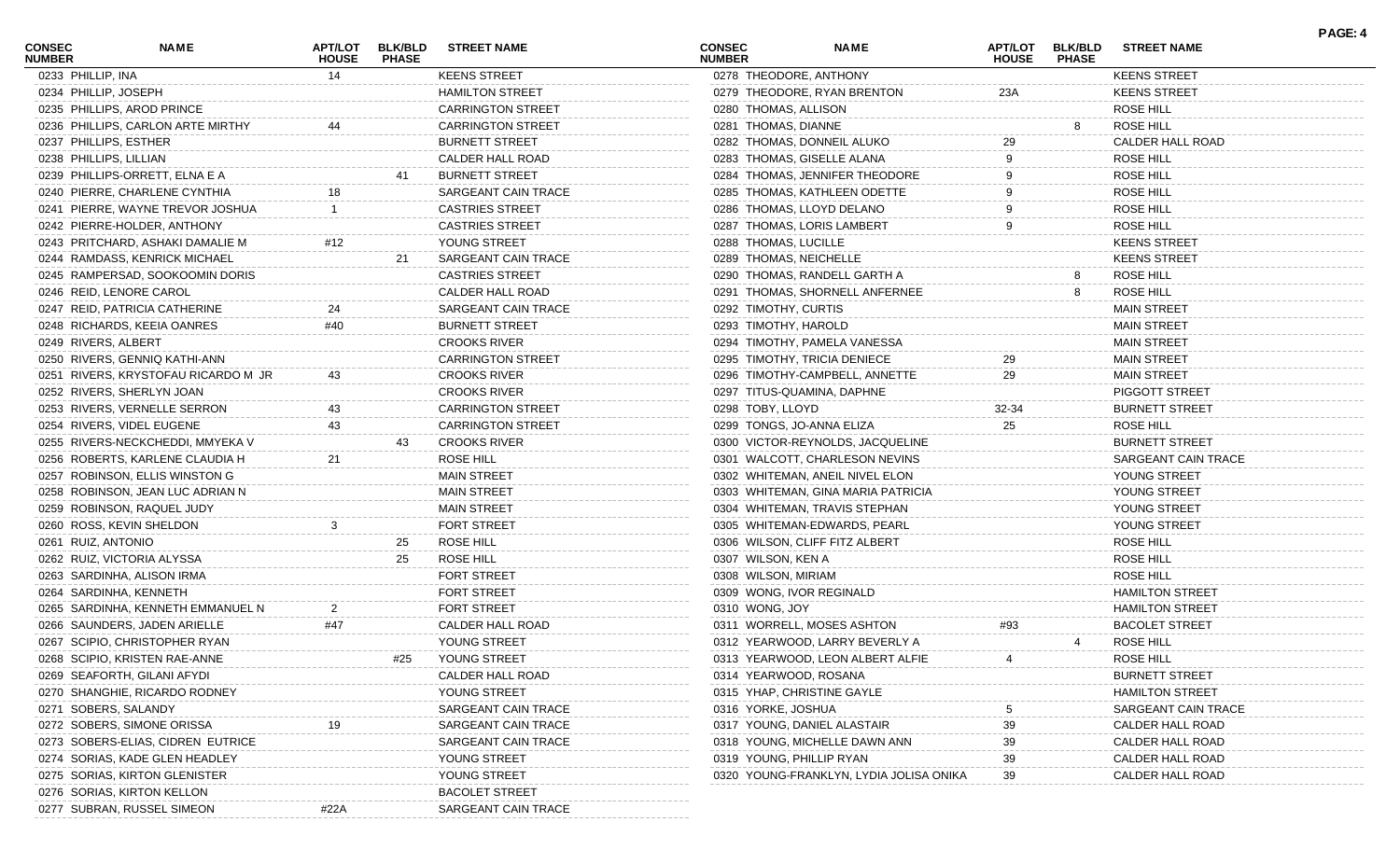| <b>CONSEC</b><br><b>NUMBER</b> | <b>NAME</b>                         | <b>HOUSE</b>   | APT/LOT BLK/BLD<br><b>PHASE</b> | <b>STREET NAME</b>       | <b>CONSEC</b><br><b>NUMBER</b> |                      | <b>NAME</b>                             | <b>HOUSE</b> | APT/LOT BLK/BLD<br><b>PHASE</b> | <b>STREET NAME</b>     |
|--------------------------------|-------------------------------------|----------------|---------------------------------|--------------------------|--------------------------------|----------------------|-----------------------------------------|--------------|---------------------------------|------------------------|
|                                | 0233 PHILLIP, INA                   | 14             |                                 | <b>KEENS STREET</b>      |                                |                      | 0278 THEODORE, ANTHONY                  |              |                                 | <b>KEENS STREET</b>    |
|                                | 0234 PHILLIP, JOSEPH                |                |                                 | <b>HAMILTON STREET</b>   |                                |                      | 0279 THEODORE, RYAN BRENTON             | 23A          |                                 | <b>KEENS STREET</b>    |
|                                | 0235 PHILLIPS, AROD PRINCE          |                |                                 | <b>CARRINGTON STREET</b> |                                | 0280 THOMAS, ALLISON |                                         |              |                                 | <b>ROSE HILL</b>       |
|                                | 0236 PHILLIPS, CARLON ARTE MIRTHY   |                |                                 | <b>CARRINGTON STREET</b> |                                | 0281 THOMAS, DIANNE  |                                         |              | 8                               | ROSE HILL              |
|                                | 0237 PHILLIPS, ESTHER               |                |                                 | <b>BURNETT STREET</b>    |                                |                      | 0282 THOMAS, DONNEIL ALUKO              | 29           |                                 | CALDER HALL ROAD       |
|                                | 0238 PHILLIPS, LILLIAN              |                |                                 | CALDER HALL ROAD         |                                |                      | 0283 THOMAS, GISELLE ALANA              |              |                                 | ROSE HILL              |
|                                | 0239 PHILLIPS-ORRETT, ELNA E A      |                |                                 | <b>BURNETT STREET</b>    |                                |                      | 0284 THOMAS, JENNIFER THEODORE          |              |                                 | <b>ROSE HILL</b>       |
|                                | 0240 PIERRE, CHARLENE CYNTHIA       | 18             |                                 | SARGEANT CAIN TRACE      |                                |                      | 0285 THOMAS, KATHLEEN ODETTE            |              |                                 | <b>ROSE HILL</b>       |
|                                | 0241 PIERRE, WAYNE TREVOR JOSHUA    |                |                                 | <b>CASTRIES STREET</b>   |                                |                      | 0286 THOMAS, LLOYD DELANO               |              |                                 | <b>ROSE HILL</b>       |
|                                | 0242 PIERRE-HOLDER, ANTHONY         |                |                                 | <b>CASTRIES STREET</b>   |                                |                      | 0287 THOMAS, LORIS LAMBERT              |              |                                 | <b>ROSE HILL</b>       |
|                                | 0243 PRITCHARD, ASHAKI DAMALIE M    | #12            |                                 | YOUNG STREET             |                                | 0288 THOMAS, LUCILLE |                                         |              |                                 | <b>KEENS STREET</b>    |
|                                | 0244 RAMDASS, KENRICK MICHAEL       |                | 21                              | SARGEANT CAIN TRACE      |                                |                      | 0289 THOMAS, NEICHELLE                  |              |                                 | <b>KEENS STREET</b>    |
|                                | 0245 RAMPERSAD, SOOKOOMIN DORIS     |                |                                 | <b>CASTRIES STREET</b>   |                                |                      | 0290 THOMAS, RANDELL GARTH A            |              | 8                               | <b>ROSE HILL</b>       |
|                                | 0246 REID, LENORE CAROL             |                |                                 | CALDER HALL ROAD         |                                |                      | 0291 THOMAS, SHORNELL ANFERNEE          |              | 8                               | <b>ROSE HILL</b>       |
|                                | 0247 REID, PATRICIA CATHERINE       | 24             |                                 | SARGEANT CAIN TRACE      |                                | 0292 TIMOTHY, CURTIS |                                         |              |                                 | <b>MAIN STREET</b>     |
|                                | 0248 RICHARDS, KEEIA OANRES         | #40            |                                 | <b>BURNETT STREET</b>    |                                | 0293 TIMOTHY, HAROLD |                                         |              |                                 | <b>MAIN STREET</b>     |
|                                | 0249 RIVERS, ALBERT                 |                |                                 | <b>CROOKS RIVER</b>      |                                |                      | 0294 TIMOTHY, PAMELA VANESSA            |              |                                 | <b>MAIN STREET</b>     |
|                                | 0250 RIVERS, GENNIQ KATHI-ANN       |                |                                 | <b>CARRINGTON STREET</b> |                                |                      | 0295 TIMOTHY, TRICIA DENIECE            | 29           |                                 | <b>MAIN STREET</b>     |
|                                | 0251 RIVERS, KRYSTOFAU RICARDO M JR | 43             |                                 | <b>CROOKS RIVER</b>      |                                |                      | 0296 TIMOTHY-CAMPBELL, ANNETTE          | 29           |                                 | <b>MAIN STREET</b>     |
|                                | 0252 RIVERS, SHERLYN JOAN           |                |                                 | <b>CROOKS RIVER</b>      |                                |                      | 0297 TITUS-QUAMINA, DAPHNE              |              |                                 | <b>PIGGOTT STREET</b>  |
|                                | 0253 RIVERS, VERNELLE SERRON        |                |                                 | <b>CARRINGTON STREET</b> |                                | 0298 TOBY, LLOYD     |                                         | 32-34        |                                 | <b>BURNETT STREET</b>  |
|                                | 0254 RIVERS, VIDEL EUGENE           | 43             |                                 | <b>CARRINGTON STREET</b> |                                |                      | 0299 TONGS, JO-ANNA ELIZA               | 25           |                                 | ROSE HILL              |
|                                | 0255 RIVERS-NECKCHEDDI, MMYEKA V    |                | 43                              | <b>CROOKS RIVER</b>      |                                |                      | 0300 VICTOR-REYNOLDS, JACQUELINE        |              |                                 | <b>BURNETT STREET</b>  |
|                                | 0256 ROBERTS, KARLENE CLAUDIA H     | 21             |                                 | ROSE HILL                |                                |                      | 0301 WALCOTT, CHARLESON NEVINS          |              |                                 | SARGEANT CAIN TRACE    |
|                                | 0257 ROBINSON, ELLIS WINSTON G      |                |                                 | <b>MAIN STREET</b>       |                                |                      | 0302 WHITEMAN, ANEIL NIVEL ELON         |              |                                 | YOUNG STREET           |
|                                | 0258 ROBINSON, JEAN LUC ADRIAN N    |                |                                 | <b>MAIN STREET</b>       |                                |                      | 0303 WHITEMAN, GINA MARIA PATRICIA      |              |                                 | YOUNG STREET           |
|                                | 0259 ROBINSON, RAQUEL JUDY          |                |                                 | <b>MAIN STREET</b>       |                                |                      | 0304 WHITEMAN, TRAVIS STEPHAN           |              |                                 | YOUNG STREET           |
|                                | 0260 ROSS, KEVIN SHELDON            | 3              |                                 | <b>FORT STREET</b>       |                                |                      | 0305 WHITEMAN-EDWARDS, PEARL            |              |                                 | YOUNG STREET           |
|                                | 0261 RUIZ, ANTONIO                  |                | 25                              | ROSE HILL                |                                |                      | 0306 WILSON, CLIFF FITZ ALBERT          |              |                                 | ROSE HILL              |
|                                | 0262 RUIZ, VICTORIA ALYSSA          |                | 25                              | ROSE HILL                |                                | 0307 WILSON, KEN A   |                                         |              |                                 | <b>ROSE HILL</b>       |
|                                | 0263 SARDINHA, ALISON IRMA          |                |                                 | <b>FORT STREET</b>       |                                | 0308 WILSON, MIRIAM  |                                         |              |                                 | <b>ROSE HILL</b>       |
|                                | 0264 SARDINHA, KENNETH              |                |                                 | <b>FORT STREET</b>       |                                |                      | 0309 WONG, IVOR REGINALD                |              |                                 | <b>HAMILTON STREET</b> |
|                                | 0265 SARDINHA, KENNETH EMMANUEL N   | $\overline{2}$ |                                 | <b>FORT STREET</b>       |                                | 0310 WONG, JOY       |                                         |              |                                 | <b>HAMILTON STREET</b> |
|                                | 0266 SAUNDERS, JADEN ARIELLE        | #47            |                                 | CALDER HALL ROAD         |                                |                      | 0311 WORRELL, MOSES ASHTON              | #93          |                                 | <b>BACOLET STREET</b>  |
|                                | 0267 SCIPIO, CHRISTOPHER RYAN       |                |                                 | YOUNG STREET             |                                |                      | 0312 YEARWOOD, LARRY BEVERLY A          |              |                                 | <b>ROSE HILL</b>       |
|                                | 0268 SCIPIO, KRISTEN RAE-ANNE       |                | #25                             | YOUNG STREET             |                                |                      | 0313 YEARWOOD, LEON ALBERT ALFIE        | 4            |                                 | <b>ROSE HILL</b>       |
|                                | 0269 SEAFORTH, GILANI AFYDI         |                |                                 | CALDER HALL ROAD         |                                |                      | 0314 YEARWOOD, ROSANA                   |              |                                 | <b>BURNETT STREET</b>  |
|                                | 0270 SHANGHIE, RICARDO RODNEY       |                |                                 | YOUNG STREET             |                                |                      | 0315 YHAP, CHRISTINE GAYLE              |              |                                 | <b>HAMILTON STREET</b> |
|                                | 0271 SOBERS, SALANDY                |                |                                 | SARGEANT CAIN TRACE      |                                | 0316 YORKE, JOSHUA   |                                         |              |                                 | SARGEANT CAIN TRACE    |
|                                | 0272 SOBERS, SIMONE ORISSA          |                |                                 | SARGEANT CAIN TRACE      |                                |                      | 0317 YOUNG, DANIEL ALASTAIR             | 39           |                                 | CALDER HALL ROAD       |
|                                | 0273 SOBERS-ELIAS, CIDREN EUTRICE   |                |                                 | SARGEANT CAIN TRACE      |                                |                      | 0318 YOUNG, MICHELLE DAWN ANN           | 39           |                                 | CALDER HALL ROAD       |
|                                | 0274 SORIAS, KADE GLEN HEADLEY      |                |                                 | YOUNG STREET             |                                |                      | 0319 YOUNG, PHILLIP RYAN                | 39           |                                 | CALDER HALL ROAD       |
|                                | 0275 SORIAS, KIRTON GLENISTER       |                |                                 | YOUNG STREET             |                                |                      | 0320 YOUNG-FRANKLYN, LYDIA JOLISA ONIKA | 39           |                                 | CALDER HALL ROAD       |
|                                | 0276 SORIAS, KIRTON KELLON          |                |                                 | <b>BACOLET STREET</b>    |                                |                      |                                         |              |                                 |                        |
|                                | 0277 SUBRAN, RUSSEL SIMEON          | #22A           |                                 | SARGEANT CAIN TRACE      |                                |                      |                                         |              |                                 |                        |